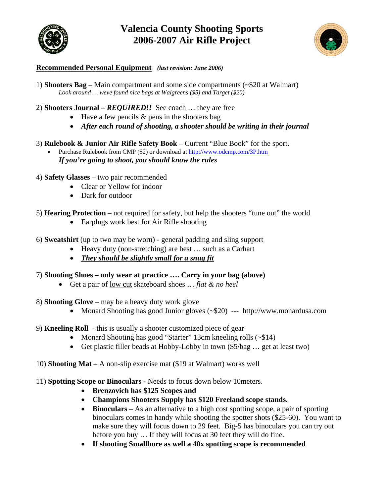

# **Valencia County Shooting Sports 2006-2007 Air Rifle Project**



#### **Recommended Personal Equipment** *(last revision: June 2006)*

1) **Shooters Bag** – Main compartment and some side compartments (~\$20 at Walmart) *Look around … weve found nice bags at Walgreens (\$5) and Target (\$20)* 

2) **Shooters Journal** – *REQUIRED!!* See coach … they are free

- Have a few pencils & pens in the shooters bag
- *After each round of shooting, a shooter should be writing in their journal*
- 3) **Rulebook & Junior Air Rifle Safety Book** Current "Blue Book" for the sport.
	- Purchase Rulebook from CMP (\$2) or download at http://www.odcmp.com/3P.htm *If you're going to shoot, you should know the rules*
- 4) **Safety Glasses** two pair recommended
	- Clear or Yellow for indoor
	- Dark for outdoor
- 5) **Hearing Protection** not required for safety, but help the shooters "tune out" the world
	- Earplugs work best for Air Rifle shooting
- 6) **Sweatshirt** (up to two may be worn) general padding and sling support
	- Heavy duty (non-stretching) are best ... such as a Carhart
	- *They should be slightly small for a snug fit*
- 7) **Shooting Shoes only wear at practice …. Carry in your bag (above)** 
	- Get a pair of low cut skateboard shoes … *flat & no heel*
- 8) **Shooting Glove** may be a heavy duty work glove
	- Monard Shooting has good Junior gloves (~\$20) --- http://www.monardusa.com
- 9) **Kneeling Roll** this is usually a shooter customized piece of gear
	- Monard Shooting has good "Starter" 13cm kneeling rolls (~\$14)
	- Get plastic filler beads at Hobby-Lobby in town (\$5/bag ... get at least two)
- 10) **Shooting Mat** A non-slip exercise mat (\$19 at Walmart) works well
- 11) **Spotting Scope or Binoculars -** Needs to focus down below 10meters.
	- **Brenzovich has \$125 Scopes and**
	- **Champions Shooters Supply has \$120 Freeland scope stands.**
	- **Binoculars** As an alternative to a high cost spotting scope, a pair of sporting binoculars comes in handy while shooting the spotter shots (\$25-60). You want to make sure they will focus down to 29 feet. Big-5 has binoculars you can try out before you buy … If they will focus at 30 feet they will do fine.
	- **If shooting Smallbore as well a 40x spotting scope is recommended**